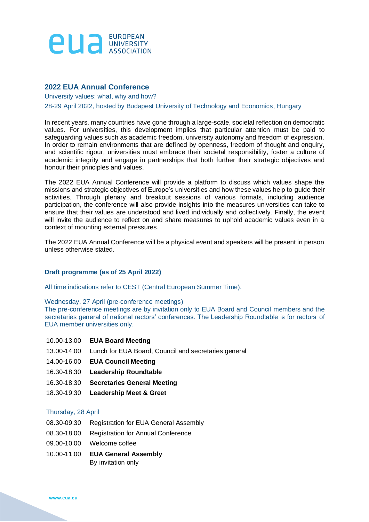

## **2022 EUA Annual Conference**

University values: what, why and how?

#### 28-29 April 2022, hosted by Budapest University of Technology and Economics, Hungary

In recent years, many countries have gone through a large-scale, societal reflection on democratic values. For universities, this development implies that particular attention must be paid to safeguarding values such as academic freedom, university autonomy and freedom of expression. In order to remain environments that are defined by openness, freedom of thought and enquiry, and scientific rigour, universities must embrace their societal responsibility, foster a culture of academic integrity and engage in partnerships that both further their strategic objectives and honour their principles and values.

The 2022 EUA Annual Conference will provide a platform to discuss which values shape the missions and strategic objectives of Europe's universities and how these values help to guide their activities. Through plenary and breakout sessions of various formats, including audience participation, the conference will also provide insights into the measures universities can take to ensure that their values are understood and lived individually and collectively. Finally, the event will invite the audience to reflect on and share measures to uphold academic values even in a context of mounting external pressures.

The 2022 EUA Annual Conference will be a physical event and speakers will be present in person unless otherwise stated.

### **Draft programme (as of 25 April 2022)**

All time indications refer to CEST (Central European Summer Time).

#### Wednesday, 27 April (pre-conference meetings)

The pre-conference meetings are by invitation only to EUA Board and Council members and the secretaries general of national rectors' conferences. The Leadership Roundtable is for rectors of EUA member universities only.

- 10.00-13.00 **EUA Board Meeting**
- 13.00-14.00 Lunch for EUA Board, Council and secretaries general
- 14.00-16.00 **EUA Council Meeting**
- 16.30-18.30 **Leadership Roundtable**
- 16.30-18.30 **Secretaries General Meeting**
- 18.30-19.30 **Leadership Meet & Greet**

#### Thursday, 28 April

- 08.30-09.30 Registration for EUA General Assembly
- 08.30-18.00 Registration for Annual Conference
- 09.00-10.00 Welcome coffee
- 10.00-11.00 **EUA General Assembly** By invitation only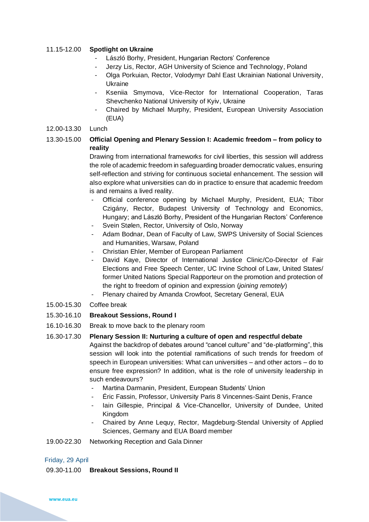### 11.15-12.00 **Spotlight on Ukraine**

- László Borhy, President, Hungarian Rectors' Conference
- Jerzy Lis, Rector, AGH University of Science and Technology, Poland
- Olga Porkuian, Rector, Volodymyr Dahl East Ukrainian National University, Ukraine
- Kseniia Smyrnova, Vice-Rector for International Cooperation, Taras Shevchenko National University of Kyiv, Ukraine
- Chaired by Michael Murphy, President, European University Association (EUA)

### 12.00-13.30 Lunch

# 13.30-15.00 **Official Opening and Plenary Session I: Academic freedom – from policy to reality**

Drawing from international frameworks for civil liberties, this session will address the role of academic freedom in safeguarding broader democratic values, ensuring self-reflection and striving for continuous societal enhancement. The session will also explore what universities can do in practice to ensure that academic freedom is and remains a lived reality.

- Official conference opening by Michael Murphy, President, EUA; Tibor Czigány, Rector, Budapest University of Technology and Economics, Hungary; and László Borhy, President of the Hungarian Rectors' Conference
- Svein Stølen, Rector, University of Oslo, Norway
- Adam Bodnar, Dean of Faculty of Law, SWPS University of Social Sciences and Humanities, Warsaw, Poland
- Christian Ehler, Member of European Parliament
- David Kaye, Director of International Justice Clinic/Co-Director of Fair Elections and Free Speech Center, UC Irvine School of Law, United States/ former United Nations Special Rapporteur on the promotion and protection of the right to freedom of opinion and expression (*joining remotely*)
- Plenary chaired by Amanda Crowfoot, Secretary General, EUA
- 15.00-15.30 Coffee break
- 15.30-16.10 **Breakout Sessions, Round I**
- 16.10-16.30 Break to move back to the plenary room

# 16.30-17.30 **Plenary Session II: Nurturing a culture of open and respectful debate** Against the backdrop of debates around "cancel culture" and "de-platforming", this session will look into the potential ramifications of such trends for freedom of speech in European universities: What can universities – and other actors – do to ensure free expression? In addition, what is the role of university leadership in such endeavours?

- Martina Darmanin, President, European Students' Union
- Éric Fassin, Professor, University Paris 8 Vincennes-Saint Denis, France
- lain Gillespie, Principal & Vice-Chancellor, University of Dundee, United Kingdom
- Chaired by Anne Lequy, Rector, Magdeburg-Stendal University of Applied Sciences, Germany and EUA Board member

### 19.00-22.30 Networking Reception and Gala Dinner

### Friday, 29 April

### 09.30-11.00 **Breakout Sessions, Round II**